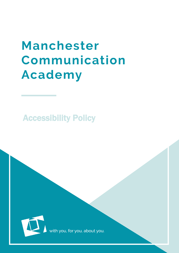# **Manchester** Communication **Academy**

Accessibility Policy



MCA is a set of the set of the set of the set of the set of the set of the set of the set of the set of the set of the set of the set of the set of the set of the set of the set of the set of the set of the set of the set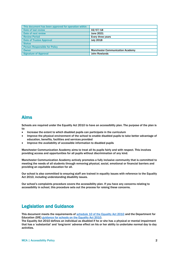| This document has been approved for operation within |                                         |
|------------------------------------------------------|-----------------------------------------|
| Date of last review                                  | 02/07/18                                |
| Date of next review                                  | <b>June 2021</b>                        |
| <b>Review Period</b>                                 | Every three years                       |
| <b>Date of Trustee Approval</b>                      | <b>July 2018</b>                        |
| <b>Status</b>                                        |                                         |
| <b>Person Responsible for Policy</b>                 |                                         |
| <b>Owner</b>                                         | <b>Manchester Communication Academy</b> |
| <b>Signature of Approval</b>                         | <b>John Rowlands</b>                    |

#### Aims

Schools are required under the Equality Act 2010 to have an accessibility plan. The purpose of the plan is to:

- Increase the extent to which disabled pupils can participate in the curriculum
- Improve the physical environment of the school to enable disabled pupils to take better advantage of education, benefits, facilities and services provided
- Improve the availability of accessible information to disabled pupils

Manchester Communication Academy aims to treat all its pupils fairly and with respect. This involves providing access and opportunities for all pupils without discrimination of any kind.

Manchester Communication Academy actively promotes a fully inclusive community that is committed to meeting the needs of all students through removing physical, social, emotional or financial barriers and providing an equitable education for all.

Our school is also committed to ensuring staff are trained in equality issues with reference to the Equality Act 2010, including understanding disability issues.

Our school's complaints procedure covers the accessibility plan. If you have any concerns relating to accessibility in school, this procedure sets out the process for raising these concerns.

#### Legislation and Guidance

This document meets the requirements of [schedule 10 of the Equality Act 2010](https://www.legislation.gov.uk/ukpga/2010/15/schedule/10) and the Department for Education (DfE) [guidance for schools on the Equality Act 2010.](https://www.gov.uk/government/publications/equality-act-2010-advice-for-schools)

The Equality Act 2010 defines an individual as disabled if he or she has a physical or mental impairment that has a 'substantial' and 'long-term' adverse effect on his or her ability to undertake normal day to day activities.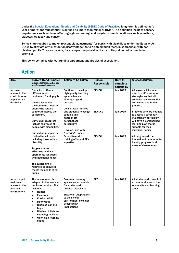Under the [Special Educational Needs and Disability \(SEND\) Code of Practice](https://www.gov.uk/government/publications/send-code-of-practice-0-to-25), 'long-term' is defined as 'a year or more' and 'substantial' is defined as 'more than minor or trivial'. The definition includes sensory impairments such as those affecting sight or hearing, and long-term health conditions such as asthma, diabetes, epilepsy and cancer.

Schools are required to make 'reasonable adjustments' for pupils with disabilities under the Equality Act 2010, to alleviate any substantial disadvantage that a disabled pupil faces in comparison with nondisabled pupils. This can include, for example, the provision of an auxiliary aid or adjustments to premises.

This policy complies with our funding agreement and articles of association.

## Action

| Aim                                                                                 | <b>Current Good Practice</b><br>Include established practice and                                                                                                                                                                                                                                                                                                       | <b>Action to be Taken</b>                                                                                                                                                                                    | <b>Person</b><br><b>Responsible</b> | Date to<br>complete                                                                                  | <b>Success Criteria</b>                                                                                                                                                    |
|-------------------------------------------------------------------------------------|------------------------------------------------------------------------------------------------------------------------------------------------------------------------------------------------------------------------------------------------------------------------------------------------------------------------------------------------------------------------|--------------------------------------------------------------------------------------------------------------------------------------------------------------------------------------------------------------|-------------------------------------|------------------------------------------------------------------------------------------------------|----------------------------------------------------------------------------------------------------------------------------------------------------------------------------|
|                                                                                     | practice under development                                                                                                                                                                                                                                                                                                                                             |                                                                                                                                                                                                              |                                     | actions by                                                                                           |                                                                                                                                                                            |
| Increase<br>access to the<br>curriculum for<br>pupils with a<br>disability          | Our school offers a<br>differentiated<br>curriculum for all pupils.<br>We use resources<br>tailored to the needs of                                                                                                                                                                                                                                                    | Continue to develop<br>high quality teaching<br>approaches and<br>sharing of good<br>practice                                                                                                                | <b>SENDCo</b>                       | Jan 2019                                                                                             | All lesson will include<br>effective differentiation<br>strategies so that all<br>students can access the<br>curriculum and make<br>progress                               |
|                                                                                     | pupils who require<br>support to access the<br>curriculum.<br><b>Curriculum resources</b><br>include examples of<br>people with disabilities.<br>Curriculum progress is                                                                                                                                                                                                | <b>Consult with families</b><br>and students to design<br>suitable and<br>appropriate<br>personalised<br>curriculums<br>Develop links with<br><b>Northridge Special</b>                                      | <b>SENDCo</b>                       | Jan 2019                                                                                             | Students who are not able<br>to access a secondary<br>mainstream curriculum<br>will have a personalised<br>learning plan that is<br>suitable for their<br>individual needs |
| tracked for all pupils,<br>including those with a<br>disability.<br>Targets are set | <b>School to enrich</b><br>training offer and SEN<br>expertise                                                                                                                                                                                                                                                                                                         | <b>SENDCo</b>                                                                                                                                                                                                | Jan 2019                            | All progress will be<br>tracked and monitored to<br>identify progress in all<br>areas of development |                                                                                                                                                                            |
|                                                                                     | effectively and are<br>appropriate for pupils<br>with additional needs.                                                                                                                                                                                                                                                                                                |                                                                                                                                                                                                              |                                     |                                                                                                      |                                                                                                                                                                            |
|                                                                                     | The curriculum is<br>reviewed to ensure it<br>meets the needs of all<br>pupils.                                                                                                                                                                                                                                                                                        |                                                                                                                                                                                                              |                                     |                                                                                                      |                                                                                                                                                                            |
| Improve and<br>maintain<br>access to the<br>physical<br>environment                 | The environment is<br>adapted to the needs of<br>pupils as required. This<br>includes:<br>Ramps<br>$\bullet$<br>$\bullet$<br><b>Elevators</b><br><b>Corridor width</b><br>$\bullet$<br>Door width<br>$\bullet$<br><b>Disabled parking</b><br>$\bullet$<br>bays<br>Disabled toilets and<br>$\bullet$<br>changing facilities<br>Open plan learning<br>$\bullet$<br>bases | <b>Ensure all learning</b><br>spaces are accessible<br>for students with<br>physical disabilities<br><b>Ensure all adaptations</b><br>to the school<br>environment consider<br>accessibility<br>implications | <b>SLT</b>                          | Jan 2019                                                                                             | All students will have full<br>access to all area of the<br>school site and learning<br>areas                                                                              |